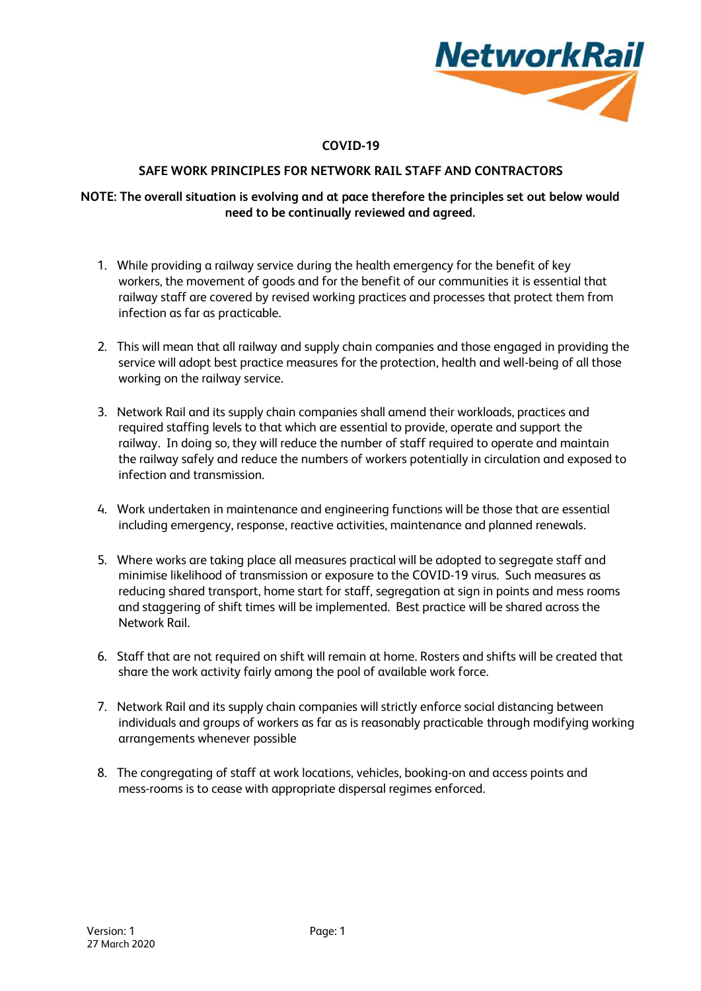

## **COVID-19**

## **SAFE WORK PRINCIPLES FOR NETWORK RAIL STAFF AND CONTRACTORS**

## **NOTE: The overall situation is evolving and at pace therefore the principles set out below would need to be continually reviewed and agreed.**

- 1. While providing a railway service during the health emergency for the benefit of key workers, the movement of goods and for the benefit of our communities it is essential that railway staff are covered by revised working practices and processes that protect them from infection as far as practicable.
- 2. This will mean that all railway and supply chain companies and those engaged in providing the service will adopt best practice measures for the protection, health and well-being of all those working on the railway service.
- 3. Network Rail and its supply chain companies shall amend their workloads, practices and required staffing levels to that which are essential to provide, operate and support the railway. In doing so, they will reduce the number of staff required to operate and maintain the railway safely and reduce the numbers of workers potentially in circulation and exposed to infection and transmission.
- 4. Work undertaken in maintenance and engineering functions will be those that are essential including emergency, response, reactive activities, maintenance and planned renewals.
- 5. Where works are taking place all measures practical will be adopted to segregate staff and minimise likelihood of transmission or exposure to the COVID-19 virus. Such measures as reducing shared transport, home start for staff, segregation at sign in points and mess rooms and staggering of shift times will be implemented. Best practice will be shared across the Network Rail.
- 6. Staff that are not required on shift will remain at home. Rosters and shifts will be created that share the work activity fairly among the pool of available work force.
- 7. Network Rail and its supply chain companies will strictly enforce social distancing between individuals and groups of workers as far as is reasonably practicable through modifying working arrangements whenever possible
- 8. The congregating of staff at work locations, vehicles, booking-on and access points and mess-rooms is to cease with appropriate dispersal regimes enforced.